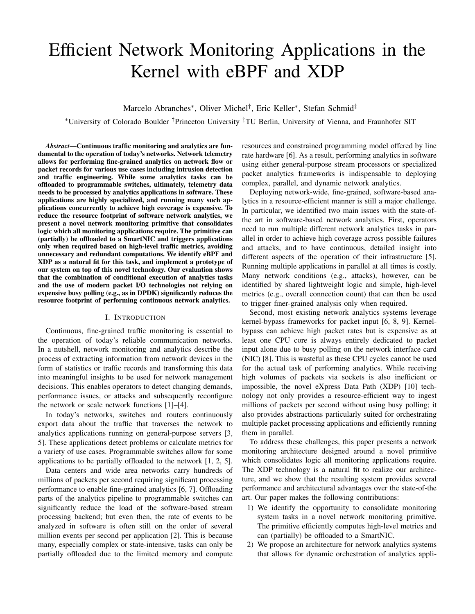# Efficient Network Monitoring Applications in the Kernel with eBPF and XDP

Marcelo Abranches<sup>∗</sup> , Oliver Michel† , Eric Keller<sup>∗</sup> , Stefan Schmid‡

<sup>∗</sup>University of Colorado Boulder †Princeton University ‡TU Berlin, University of Vienna, and Fraunhofer SIT

*Abstract*—Continuous traffic monitoring and analytics are fundamental to the operation of today's networks. Network telemetry allows for performing fine-grained analytics on network flow or packet records for various use cases including intrusion detection and traffic engineering. While some analytics tasks can be offloaded to programmable switches, ultimately, telemetry data needs to be processed by analytics applications in software. These applications are highly specialized, and running many such applications concurrently to achieve high coverage is expensive. To reduce the resource footprint of software network analytics, we present a novel network monitoring primitive that consolidates logic which all monitoring applications require. The primitive can (partially) be offloaded to a SmartNIC and triggers applications only when required based on high-level traffic metrics, avoiding unnecessary and redundant computations. We identify eBPF and XDP as a natural fit for this task, and implement a prototype of our system on top of this novel technology. Our evaluation shows that the combination of conditional execution of analytics tasks and the use of modern packet I/O technologies not relying on expensive busy polling (e.g., as in DPDK) significantly reduces the resource footprint of performing continuous network analytics.

## I. INTRODUCTION

Continuous, fine-grained traffic monitoring is essential to the operation of today's reliable communication networks. In a nutshell, network monitoring and analytics describe the process of extracting information from network devices in the form of statistics or traffic records and transforming this data into meaningful insights to be used for network management decisions. This enables operators to detect changing demands, performance issues, or attacks and subsequently reconfigure the network or scale network functions [\[1\]](#page-6-0)–[\[4\]](#page-6-1).

In today's networks, switches and routers continuously export data about the traffic that traverses the network to analytics applications running on general-purpose servers [\[3,](#page-6-2) [5\]](#page-6-3). These applications detect problems or calculate metrics for a variety of use cases. Programmable switches allow for some applications to be partially offloaded to the network [\[1,](#page-6-0) [2,](#page-6-4) [5\]](#page-6-3).

Data centers and wide area networks carry hundreds of millions of packets per second requiring significant processing performance to enable fine-grained analytics [\[6,](#page-6-5) [7\]](#page-6-6). Offloading parts of the analytics pipeline to programmable switches can significantly reduce the load of the software-based stream processing backend; but even then, the rate of events to be analyzed in software is often still on the order of several million events per second per application [\[2\]](#page-6-4). This is because many, especially complex or state-intensive, tasks can only be partially offloaded due to the limited memory and compute

resources and constrained programming model offered by line rate hardware [\[6\]](#page-6-5). As a result, performing analytics in software using either general-purpose stream processors or specialized packet analytics frameworks is indispensable to deploying complex, parallel, and dynamic network analytics.

Deploying network-wide, fine-grained, software-based analytics in a resource-efficient manner is still a major challenge. In particular, we identified two main issues with the state-ofthe art in software-based network analytics. First, operators need to run multiple different network analytics tasks in parallel in order to achieve high coverage across possible failures and attacks, and to have continuous, detailed insight into different aspects of the operation of their infrastructure [\[5\]](#page-6-3). Running multiple applications in parallel at all times is costly. Many network conditions (e.g., attacks), however, can be identified by shared lightweight logic and simple, high-level metrics (e.g., overall connection count) that can then be used to trigger finer-grained analysis only when required.

Second, most existing network analytics systems leverage kernel-bypass frameworks for packet input [\[6,](#page-6-5) [8,](#page-6-7) [9\]](#page-6-8). Kernelbypass can achieve high packet rates but is expensive as at least one CPU core is always entirely dedicated to packet input alone due to busy polling on the network interface card (NIC) [\[8\]](#page-6-7). This is wasteful as these CPU cycles cannot be used for the actual task of performing analytics. While receiving high volumes of packets via sockets is also inefficient or impossible, the novel eXpress Data Path (XDP) [\[10\]](#page-6-9) technology not only provides a resource-efficient way to ingest millions of packets per second without using busy polling; it also provides abstractions particularly suited for orchestrating multiple packet processing applications and efficiently running them in parallel.

To address these challenges, this paper presents a network monitoring architecture designed around a novel primitive which consolidates logic all monitoring applications require. The XDP technology is a natural fit to realize our architecture, and we show that the resulting system provides several performance and architectural advantages over the state-of-the art. Our paper makes the following contributions:

- 1) We identify the opportunity to consolidate monitoring system tasks in a novel network monitoring primitive. The primitive efficiently computes high-level metrics and can (partially) be offloaded to a SmartNIC.
- 2) We propose an architecture for network analytics systems that allows for dynamic orchestration of analytics appli-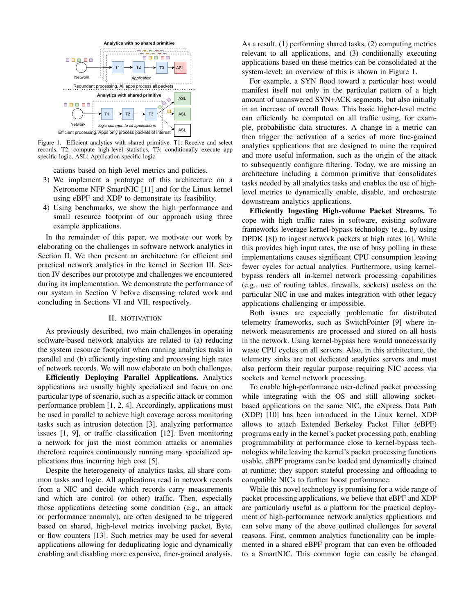

<span id="page-1-1"></span>Figure 1. Efficient analytics with shared primitive. T1: Receive and select records, T2: compute high-level statistics, T3: conditionally execute app specific logic, ASL: Application-specific logic

cations based on high-level metrics and policies.

- 3) We implement a prototype of this architecture on a Netronome NFP SmartNIC [\[11\]](#page-6-10) and for the Linux kernel using eBPF and XDP to demonstrate its feasibility.
- 4) Using benchmarks, we show the high performance and small resource footprint of our approach using three example applications.

In the remainder of this paper, we motivate our work by elaborating on the challenges in software network analytics in Section [II.](#page-1-0) We then present an architecture for efficient and practical network analytics in the kernel in Section [III.](#page-2-0) Section [IV](#page-3-0) describes our prototype and challenges we encountered during its implementation. We demonstrate the performance of our system in Section [V](#page-4-0) before discussing related work and concluding in Sections [VI](#page-5-0) and [VII,](#page-6-11) respectively.

## II. MOTIVATION

<span id="page-1-0"></span>As previously described, two main challenges in operating software-based network analytics are related to (a) reducing the system resource footprint when running analytics tasks in parallel and (b) efficiently ingesting and processing high rates of network records. We will now elaborate on both challenges.

Efficiently Deploying Parallel Applications. Analytics applications are usually highly specialized and focus on one particular type of scenario, such as a specific attack or common performance problem [\[1,](#page-6-0) [2,](#page-6-4) [4\]](#page-6-1). Accordingly, applications must be used in parallel to achieve high coverage across monitoring tasks such as intrusion detection [\[3\]](#page-6-2), analyzing performance issues [\[1,](#page-6-0) [9\]](#page-6-8), or traffic classification [\[12\]](#page-6-12). Even monitoring a network for just the most common attacks or anomalies therefore requires continuously running many specialized applications thus incurring high cost [\[5\]](#page-6-3).

Despite the heterogeneity of analytics tasks, all share common tasks and logic. All applications read in network records from a NIC and decide which records carry measurements and which are control (or other) traffic. Then, especially those applications detecting some condition (e.g., an attack or performance anomaly), are often designed to be triggered based on shared, high-level metrics involving packet, Byte, or flow counters [\[13\]](#page-6-13). Such metrics may be used for several applications allowing for deduplicating logic and dynamically enabling and disabling more expensive, finer-grained analysis. As a result, (1) performing shared tasks, (2) computing metrics relevant to all applications, and (3) conditionally executing applications based on these metrics can be consolidated at the system-level; an overview of this is shown in Figure [1.](#page-1-1)

For example, a SYN flood toward a particular host would manifest itself not only in the particular pattern of a high amount of unanswered SYN+ACK segments, but also initially in an increase of overall flows. This basic higher-level metric can efficiently be computed on all traffic using, for example, probabilistic data structures. A change in a metric can then trigger the activation of a series of more fine-grained analytics applications that are designed to mine the required and more useful information, such as the origin of the attack to subsequently configure filtering. Today, we are missing an architecture including a common primitive that consolidates tasks needed by all analytics tasks and enables the use of highlevel metrics to dynamically enable, disable, and orchestrate downstream analytics applications.

Efficiently Ingesting High-volume Packet Streams. To cope with high traffic rates in software, existing software frameworks leverage kernel-bypass technology (e.g., by using DPDK [\[8\]](#page-6-7)) to ingest network packets at high rates [\[6\]](#page-6-5). While this provides high input rates, the use of busy polling in these implementations causes significant CPU consumption leaving fewer cycles for actual analytics. Furthermore, using kernelbypass renders all in-kernel network processing capabilities (e.g., use of routing tables, firewalls, sockets) useless on the particular NIC in use and makes integration with other legacy applications challenging or impossible.

Both issues are especially problematic for distributed telemetry frameworks, such as SwitchPointer [\[9\]](#page-6-8) where innetwork measurements are processed and stored on all hosts in the network. Using kernel-bypass here would unnecessarily waste CPU cycles on all servers. Also, in this architecture, the telemetry sinks are not dedicated analytics servers and must also perform their regular purpose requiring NIC access via sockets and kernel network processing.

To enable high-performance user-defined packet processing while integrating with the OS and still allowing socketbased applications on the same NIC, the eXpress Data Path (XDP) [\[10\]](#page-6-9) has been introduced in the Linux kernel. XDP allows to attach Extended Berkeley Packet Filter (eBPF) programs early in the kernel's packet processing path, enabling programmability at performance close to kernel-bypass technologies while leaving the kernel's packet processing functions usable. eBPF programs can be loaded and dynamically chained at runtime; they support stateful processing and offloading to compatible NICs to further boost performance.

While this novel technology is promising for a wide range of packet processing applications, we believe that eBPF and XDP are particularly useful as a platform for the practical deployment of high-performance network analytics applications and can solve many of the above outlined challenges for several reasons. First, common analytics functionality can be implemented in a shared eBPF program that can even be offloaded to a SmartNIC. This common logic can easily be changed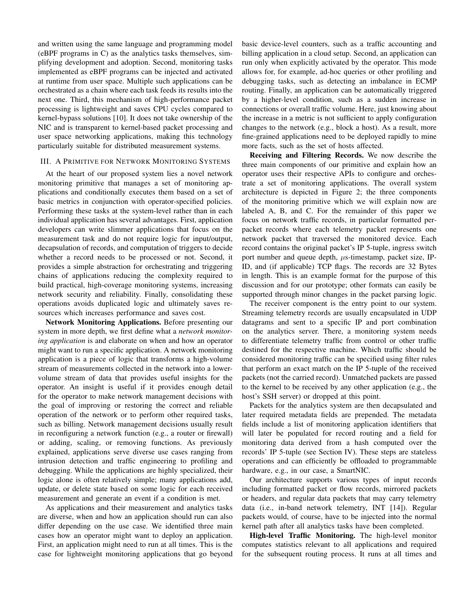and written using the same language and programming model (eBPF programs in C) as the analytics tasks themselves, simplifying development and adoption. Second, monitoring tasks implemented as eBPF programs can be injected and activated at runtime from user space. Multiple such applications can be orchestrated as a chain where each task feeds its results into the next one. Third, this mechanism of high-performance packet processing is lightweight and saves CPU cycles compared to kernel-bypass solutions [\[10\]](#page-6-9). It does not take ownership of the NIC and is transparent to kernel-based packet processing and user space networking applications, making this technology particularly suitable for distributed measurement systems.

## <span id="page-2-0"></span>III. A PRIMITIVE FOR NETWORK MONITORING SYSTEMS

At the heart of our proposed system lies a novel network monitoring primitive that manages a set of monitoring applications and conditionally executes them based on a set of basic metrics in conjunction with operator-specified policies. Performing these tasks at the system-level rather than in each individual application has several advantages. First, application developers can write slimmer applications that focus on the measurement task and do not require logic for input/output, decapsulation of records, and computation of triggers to decide whether a record needs to be processed or not. Second, it provides a simple abstraction for orchestrating and triggering chains of applications reducing the complexity required to build practical, high-coverage monitoring systems, increasing network security and reliability. Finally, consolidating these operations avoids duplicated logic and ultimately saves resources which increases performance and saves cost.

Network Monitoring Applications. Before presenting our system in more depth, we first define what a *network monitoring application* is and elaborate on when and how an operator might want to run a specific application. A network monitoring application is a piece of logic that transforms a high-volume stream of measurements collected in the network into a lowervolume stream of data that provides useful insights for the operator. An insight is useful if it provides enough detail for the operator to make network management decisions with the goal of improving or restoring the correct and reliable operation of the network or to perform other required tasks, such as billing. Network management decisions usually result in reconfiguring a network function (e.g., a router or firewall) or adding, scaling, or removing functions. As previously explained, applications serve diverse use cases ranging from intrusion detection and traffic engineering to profiling and debugging. While the applications are highly specialized, their logic alone is often relatively simple; many applications add, update, or delete state based on some logic for each received measurement and generate an event if a condition is met.

As applications and their measurement and analytics tasks are diverse, when and how an application should run can also differ depending on the use case. We identified three main cases how an operator might want to deploy an application. First, an application might need to run at all times. This is the case for lightweight monitoring applications that go beyond basic device-level counters, such as a traffic accounting and billing application in a cloud setup. Second, an application can run only when explicitly activated by the operator. This mode allows for, for example, ad-hoc queries or other profiling and debugging tasks, such as detecting an imbalance in ECMP routing. Finally, an application can be automatically triggered by a higher-level condition, such as a sudden increase in connections or overall traffic volume. Here, just knowing about the increase in a metric is not sufficient to apply configuration changes to the network (e.g., block a host). As a result, more fine-grained applications need to be deployed rapidly to mine more facts, such as the set of hosts affected.

Receiving and Filtering Records. We now describe the three main components of our primitive and explain how an operator uses their respective APIs to configure and orchestrate a set of monitoring applications. The overall system architecture is depicted in Figure [2;](#page-3-1) the three components of the monitoring primitive which we will explain now are labeled A, B, and C. For the remainder of this paper we focus on network traffic records, in particular formatted perpacket records where each telemetry packet represents one network packet that traversed the monitored device. Each record contains the original packet's IP 5-tuple, ingress switch port number and queue depth,  $\mu$ s-timestamp, packet size, IP-ID, and (if applicable) TCP flags. The records are 32 Bytes in length. This is an example format for the purpose of this discussion and for our prototype; other formats can easily be supported through minor changes in the packet parsing logic.

The receiver component is the entry point to our system. Streaming telemetry records are usually encapsulated in UDP datagrams and sent to a specific IP and port combination on the analytics server. There, a monitoring system needs to differentiate telemetry traffic from control or other traffic destined for the respective machine. Which traffic should be considered monitoring traffic can be specified using filter rules that perform an exact match on the IP 5-tuple of the received packets (not the carried record). Unmatched packets are passed to the kernel to be received by any other application (e.g., the host's SSH server) or dropped at this point.

Packets for the analytics system are then decapsulated and later required metadata fields are prepended. The metadata fields include a list of monitoring application identifiers that will later be populated for record routing and a field for monitoring data derived from a hash computed over the records' IP 5-tuple (see Section [IV\)](#page-3-0). These steps are stateless operations and can efficiently be offloaded to programmable hardware, e.g., in our case, a SmartNIC.

Our architecture supports various types of input records including formatted packet or flow records, mirrored packets or headers, and regular data packets that may carry telemetry data (i.e., in-band network telemetry, INT [\[14\]](#page-6-14)). Regular packets would, of course, have to be injected into the normal kernel path after all analytics tasks have been completed.

High-level Traffic Monitoring. The high-level monitor computes statistics relevant to all applications and required for the subsequent routing process. It runs at all times and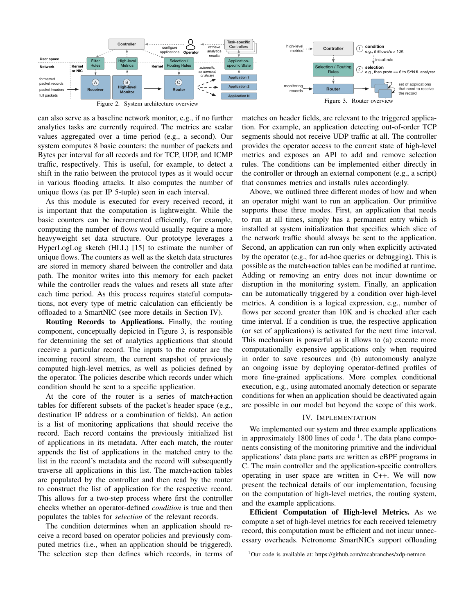

<span id="page-3-1"></span>

can also serve as a baseline network monitor, e.g., if no further analytics tasks are currently required. The metrics are scalar values aggregated over a time period (e.g., a second). Our system computes 8 basic counters: the number of packets and Bytes per interval for all records and for TCP, UDP, and ICMP traffic, respectively. This is useful, for example, to detect a shift in the ratio between the protocol types as it would occur in various flooding attacks. It also computes the number of

<span id="page-3-2"></span>matches on header fields, are relevant to the triggered application. For example, an application detecting out-of-order TCP segments should not receive UDP traffic at all. The controller provides the operator access to the current state of high-level metrics and exposes an API to add and remove selection rules. The conditions can be implemented either directly in the controller or through an external component (e.g., a script) that consumes metrics and installs rules accordingly.

unique flows (as per IP 5-tuple) seen in each interval. As this module is executed for every received record, it is important that the computation is lightweight. While the basic counters can be incremented efficiently, for example, computing the number of flows would usually require a more heavyweight set data structure. Our prototype leverages a HyperLogLog sketch (HLL) [\[15\]](#page-6-15) to estimate the number of unique flows. The counters as well as the sketch data structures are stored in memory shared between the controller and data path. The monitor writes into this memory for each packet while the controller reads the values and resets all state after each time period. As this process requires stateful computations, not every type of metric calculation can efficiently be offloaded to a SmartNIC (see more details in Section [IV\)](#page-3-0).

Routing Records to Applications. Finally, the routing component, conceptually depicted in Figure [3,](#page-3-2) is responsible for determining the set of analytics applications that should receive a particular record. The inputs to the router are the incoming record stream, the current snapshot of previously computed high-level metrics, as well as policies defined by the operator. The policies describe which records under which condition should be sent to a specific application.

At the core of the router is a series of match+action tables for different subsets of the packet's header space (e.g., destination IP address or a combination of fields). An action is a list of monitoring applications that should receive the record. Each record contains the previously initialized list of applications in its metadata. After each match, the router appends the list of applications in the matched entry to the list in the record's metadata and the record will subsequently traverse all applications in this list. The match+action tables are populated by the controller and then read by the router to construct the list of application for the respective record. This allows for a two-step process where first the controller checks whether an operator-defined *condition* is true and then populates the tables for *selection* of the relevant records.

The condition determines when an application should receive a record based on operator policies and previously computed metrics (i.e., when an application should be triggered). The selection step then defines which records, in terms of

Above, we outlined three different modes of how and when an operator might want to run an application. Our primitive supports these three modes. First, an application that needs to run at all times, simply has a permanent entry which is installed at system initialization that specifies which slice of the network traffic should always be sent to the application. Second, an application can run only when explicitly activated by the operator (e.g., for ad-hoc queries or debugging). This is possible as the match+action tables can be modified at runtime. Adding or removing an entry does not incur downtime or disruption in the monitoring system. Finally, an application can be automatically triggered by a condition over high-level metrics. A condition is a logical expression, e.g., number of flows per second greater than 10K and is checked after each time interval. If a condition is true, the respective application (or set of applications) is activated for the next time interval. This mechanism is powerful as it allows to (a) execute more computationally expensive applications only when required in order to save resources and (b) autonomously analyze an ongoing issue by deploying operator-defined profiles of more fine-grained applications. More complex conditional execution, e.g., using automated anomaly detection or separate conditions for when an application should be deactivated again are possible in our model but beyond the scope of this work.

## IV. IMPLEMENTATION

<span id="page-3-0"></span>We implemented our system and three example applications in approximately [1](#page-3-3)800 lines of code  $<sup>1</sup>$ . The data plane compo-</sup> nents consisting of the monitoring primitive and the individual applications' data plane parts are written as eBPF programs in C. The main controller and the application-specific controllers operating in user space are written in C++. We will now present the technical details of our implementation, focusing on the computation of high-level metrics, the routing system, and the example applications.

Efficient Computation of High-level Metrics. As we compute a set of high-level metrics for each received telemetry record, this computation must be efficient and not incur unnecessary overheads. Netronome SmartNICs support offloading

<span id="page-3-3"></span><sup>1</sup>Our code is available at: https://github.com/mcabranches/xdp-netmon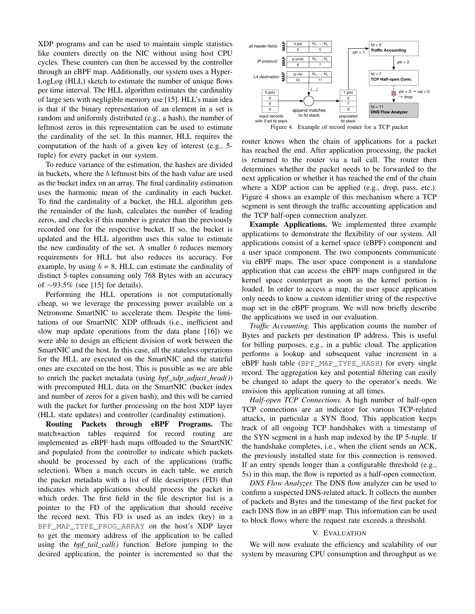XDP programs and can be used to maintain simple statistics like counters directly on the NIC without using host CPU cycles. These counters can then be accessed by the controller through an eBPF map. Additionally, our system uses a Hyper-LogLog (HLL) sketch to estimate the number of unique flows per time interval. The HLL algorithm estimates the cardinality of large sets with negligible memory use [\[15\]](#page-6-15). HLL's main idea is that if the binary representation of an element in a set is random and uniformly distributed (e.g., a hash), the number of leftmost zeros in this representation can be used to estimate the cardinality of the set. In this manner, HLL requires the computation of the hash of a given key of interest (e.g., 5 tuple) for every packet in our system.

To reduce variance of the estimation, the hashes are divided in buckets, where the  $b$  leftmost bits of the hash value are used as the bucket index on an array. The final cardinality estimation uses the harmonic mean of the cardinality in each bucket. To find the cardinality of a bucket, the HLL algorithm gets the remainder of the hash, calculates the number of leading zeros, and checks if this number is greater than the previously recorded one for the respective bucket. If so, the bucket is updated and the HLL algorithm uses this value to estimate the new cardinality of the set. A smaller  $b$  reduces memory requirements for HLL but also reduces its accuracy. For example, by using  $b = 8$ , HLL can estimate the cardinality of distinct 5-tuples consuming only 768 Bytes with an accuracy of ∼93.5% (see [\[15\]](#page-6-15) for details).

Performing the HLL operations is not computationally cheap, so we leverage the processing power available on a Netronome SmartNIC to accelerate them. Despite the limitations of our SmartNIC XDP offloads (i.e., inefficient and slow map update operations from the data plane [\[16\]](#page-6-16)) we were able to design an efficient division of work between the SmartNIC and the host. In this case, all the stateless operations for the HLL are executed on the SmartNIC and the stateful ones are executed on the host. This is possible as we are able to enrich the packet metadata (using *bpf\_xdp\_adjust\_head()*) with precomputed HLL data on the SmartNIC (bucket index and number of zeros for a given hash), and this will be carried with the packet for further processing on the host XDP layer (HLL state updates) and controller (cardinality estimation).

Routing Packets through eBPF Programs. The match+action tables required for record routing are implemented as eBPF hash maps offloaded to the SmartNIC and populated from the controller to indicate which packets should be processed by each of the applications (traffic selection). When a match occurs in each table, we enrich the packet metadata with a list of file descriptors (FD) that indicates which applications should process the packet in which order. The first field in the file descriptor list is a pointer to the FD of the application that should receive the record next. This FD is used as an index (key) in a BPF MAP TYPE PROG ARRAY on the host's XDP layer to get the memory address of the application to be called using the *bpf\_tail\_call()* function. Before jumping to the desired application, the pointer is incremented so that the



<span id="page-4-1"></span>router knows when the chain of applications for a packet has reached the end. After application processing, the packet is returned to the router via a tail call. The router then determines whether the packet needs to be forwarded to the next application or whether it has reached the end of the chain where a XDP action can be applied (e.g., drop, pass, etc.). Figure [4](#page-4-1) shows an example of this mechanism where a TCP segment is sent through the traffic accounting application and the TCP half-open connection analyzer.

Example Applications. We implemented three example applications to demonstrate the flexibility of our system. All applications consist of a kernel space (eBPF) component and a user space component. The two components communicate via eBPF maps. The user space component is a standalone application that can access the eBPF maps configured in the kernel space counterpart as soon as the kernel portion is loaded. In order to access a map, the user space application only needs to know a custom identifier string of the respective map set in the eBPF program. We will now briefly describe the applications we used in our evaluation.

*Traffic Accounting.* This application counts the number of Bytes and packets per destination IP address. This is useful for billing purposes, e.g., in a public cloud. The application performs a lookup and subsequent value increment in a eBPF hash table (BPF\_MAP\_TYPE\_HASH) for every single record. The aggregation key and potential filtering can easily be changed to adapt the query to the operator's needs. We envision this application running at all times.

*Half-open TCP Connections.* A high number of half-open TCP connections are an indicator for various TCP-related attacks, in particular a SYN flood. This application keeps track of all ongoing TCP handshakes with a timestamp of the SYN segment in a hash map indexed by the IP 5-tuple. If the handshake completes, i.e., when the client sends an ACK, the previously installed state for this connection is removed. If an entry spends longer than a configurable threshold (e.g., 5s) in this map, the flow is reported as a half-open connection.

*DNS Flow Analyzer.* The DNS flow analyzer can be used to confirm a suspected DNS-related attack. It collects the number of packets and Bytes and the timestamp of the first packet for each DNS flow in an eBPF map. This information can be used to block flows where the request rate exceeds a threshold.

# V. EVALUATION

<span id="page-4-0"></span>We will now evaluate the efficiency and scalability of our system by measuring CPU consumption and throughput as we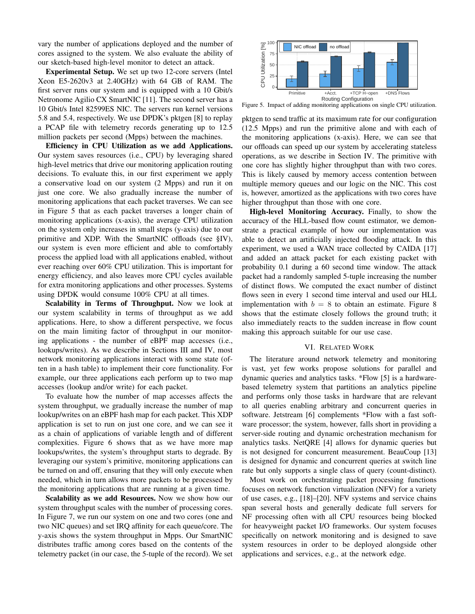vary the number of applications deployed and the number of cores assigned to the system. We also evaluate the ability of our sketch-based high-level monitor to detect an attack.

Experimental Setup. We set up two 12-core servers (Intel Xeon E5-2620v3 at 2.40GHz) with 64 GB of RAM. The first server runs our system and is equipped with a 10 Gbit/s Netronome Agilio CX SmartNIC [\[11\]](#page-6-10). The second server has a 10 Gbit/s Intel 82599ES NIC. The servers run kernel versions 5.8 and 5.4, respectively. We use DPDK's pktgen [\[8\]](#page-6-7) to replay a PCAP file with telemetry records generating up to 12.5 million packets per second (Mpps) between the machines.

Efficiency in CPU Utilization as we add Applications. Our system saves resources (i.e., CPU) by leveraging shared high-level metrics that drive our monitoring application routing decisions. To evaluate this, in our first experiment we apply a conservative load on our system (2 Mpps) and run it on just one core. We also gradually increase the number of monitoring applications that each packet traverses. We can see in Figure [5](#page-5-1) that as each packet traverses a longer chain of monitoring applications (x-axis), the average CPU utilization on the system only increases in small steps (y-axis) due to our primitive and XDP. With the SmartNIC offloads (see [§IV\)](#page-3-0), our system is even more efficient and able to comfortably process the applied load with all applications enabled, without ever reaching over 60% CPU utilization. This is important for energy efficiency, and also leaves more CPU cycles available for extra monitoring applications and other processes. Systems using DPDK would consume 100% CPU at all times.

Scalability in Terms of Throughput. Now we look at our system scalability in terms of throughput as we add applications. Here, to show a different perspective, we focus on the main limiting factor of throughput in our monitoring applications - the number of eBPF map accesses (i.e., lookups/writes). As we describe in Sections [III](#page-2-0) and [IV,](#page-3-0) most network monitoring applications interact with some state (often in a hash table) to implement their core functionality. For example, our three applications each perform up to two map accesses (lookup and/or write) for each packet.

To evaluate how the number of map accesses affects the system throughput, we gradually increase the number of map lookup/writes on an eBPF hash map for each packet. This XDP application is set to run on just one core, and we can see it as a chain of applications of variable length and of different complexities. Figure [6](#page-6-17) shows that as we have more map lookups/writes, the system's throughput starts to degrade. By leveraging our system's primitive, monitoring applications can be turned on and off, ensuring that they will only execute when needed, which in turn allows more packets to be processed by the monitoring applications that are running at a given time.

Scalability as we add Resources. Now we show how our system throughput scales with the number of processing cores. In Figure [7,](#page-6-18) we run our system on one and two cores (one and two NIC queues) and set IRQ affinity for each queue/core. The y-axis shows the system throughput in Mpps. Our SmartNIC distributes traffic among cores based on the contents of the telemetry packet (in our case, the 5-tuple of the record). We set



<span id="page-5-1"></span>Figure 5. Impact of adding monitoring applications on single CPU utilization.

pktgen to send traffic at its maximum rate for our configuration (12.5 Mpps) and run the primitive alone and with each of the monitoring applications (x-axis). Here, we can see that our offloads can speed up our system by accelerating stateless operations, as we describe in Section [IV.](#page-3-0) The primitive with one core has slightly higher throughput than with two cores. This is likely caused by memory access contention between multiple memory queues and our logic on the NIC. This cost is, however, amortized as the applications with two cores have higher throughput than those with one core.

High-level Monitoring Accuracy. Finally, to show the accuracy of the HLL-based flow count estimator, we demonstrate a practical example of how our implementation was able to detect an artificially injected flooding attack. In this experiment, we used a WAN trace collected by CAIDA [\[17\]](#page-6-19) and added an attack packet for each existing packet with probability 0.1 during a 60 second time window. The attack packet had a randomly sampled 5-tuple increasing the number of distinct flows. We computed the exact number of distinct flows seen in every 1 second time interval and used our HLL implementation with  $b = 8$  $b = 8$  to obtain an estimate. Figure 8 shows that the estimate closely follows the ground truth; it also immediately reacts to the sudden increase in flow count making this approach suitable for our use case.

### VI. RELATED WORK

<span id="page-5-0"></span>The literature around network telemetry and monitoring is vast, yet few works propose solutions for parallel and dynamic queries and analytics tasks. \*Flow [\[5\]](#page-6-3) is a hardwarebased telemetry system that partitions an analytics pipeline and performs only those tasks in hardware that are relevant to all queries enabling arbitrary and concurrent queries in software. Jetstream [\[6\]](#page-6-5) complements \*Flow with a fast software processor; the system, however, falls short in providing a server-side routing and dynamic orchestration mechanism for analytics tasks. NetQRE [\[4\]](#page-6-1) allows for dynamic queries but is not designed for concurrent measurement. BeauCoup [\[13\]](#page-6-13) is designed for dynamic and concurrent queries at switch line rate but only supports a single class of query (count-distinct).

Most work on orchestrating packet processing functions focuses on network function virtualization (NFV) for a variety of use cases, e.g., [\[18\]](#page-6-21)–[\[20\]](#page-6-22). NFV systems and service chains span several hosts and generally dedicate full servers for NF processing often with all CPU resources being blocked for heavyweight packet I/O frameworks. Our system focuses specifically on network monitoring and is designed to save system resources in order to be deployed alongside other applications and services, e.g., at the network edge.